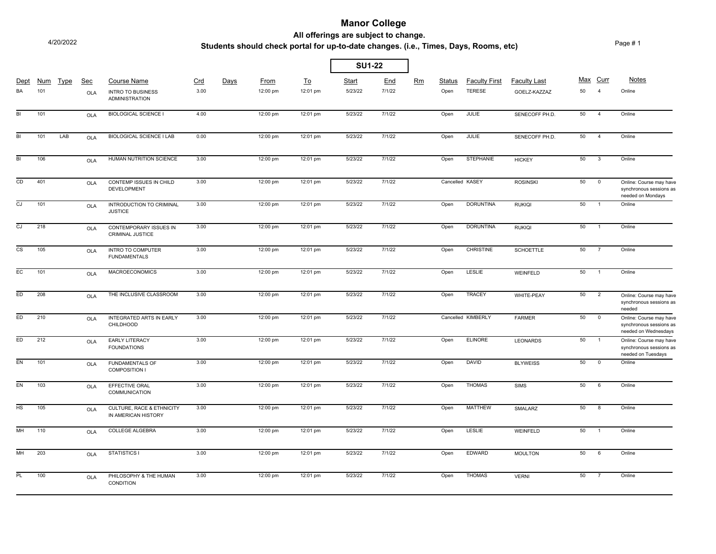## **Manor College**

4/20/2022

#### **All offerings are subject to change.**

### **Students should check portal for up-to-date changes. (i.e., Times, Days, Rooms, etc)**

Page # 1

|                        |            |             |                   |                                                                         |             |      |                  |                       | <b>SU1-22</b>           |               |    |                |                                       |                                     |    |                            |                                                                            |
|------------------------|------------|-------------|-------------------|-------------------------------------------------------------------------|-------------|------|------------------|-----------------------|-------------------------|---------------|----|----------------|---------------------------------------|-------------------------------------|----|----------------------------|----------------------------------------------------------------------------|
| Dept<br>BA             | Num<br>101 | <b>Type</b> | <u>Sec</u><br>OLA | <b>Course Name</b><br><b>INTRO TO BUSINESS</b><br><b>ADMINISTRATION</b> | Crd<br>3.00 | Days | From<br>12:00 pm | <u>To</u><br>12:01 pm | <b>Start</b><br>5/23/22 | End<br>7/1/22 | Rm | Status<br>Open | <b>Faculty First</b><br><b>TERESE</b> | <b>Faculty Last</b><br>GOELZ-KAZZAZ | 50 | Max Curr<br>$\overline{4}$ | <b>Notes</b><br>Online                                                     |
| <b>BI</b>              | 101        |             | OLA               | <b>BIOLOGICAL SCIENCE I</b>                                             | 4.00        |      | 12:00 pm         | 12:01 pm              | 5/23/22                 | 7/1/22        |    | Open           | JULIE                                 | SENECOFF PH.D.                      | 50 | $\overline{4}$             | Online                                                                     |
| BI                     | 101        | LAB         | <b>OLA</b>        | <b>BIOLOGICAL SCIENCE I LAB</b>                                         | 0.00        |      | 12:00 pm         | 12:01 pm              | 5/23/22                 | 7/1/22        |    | Open           | <b>JULIE</b>                          | SENECOFF PH.D.                      | 50 | $\overline{4}$             | Online                                                                     |
| $\overline{BI}$        | 106        |             | <b>OLA</b>        | HUMAN NUTRITION SCIENCE                                                 | 3.00        |      | 12:00 pm         | 12:01 pm              | 5/23/22                 | 7/1/22        |    | Open           | <b>STEPHANIE</b>                      | <b>HICKEY</b>                       | 50 | $\mathbf{3}$               | Online                                                                     |
| CD                     | 401        |             | <b>OLA</b>        | CONTEMP ISSUES IN CHILD<br><b>DEVELOPMENT</b>                           | 3.00        |      | 12:00 pm         | 12:01 pm              | 5/23/22                 | 7/1/22        |    |                | Cancelled KASEY                       | <b>ROSINSKI</b>                     | 50 | $\overline{0}$             | Online: Course may have<br>synchronous sessions as<br>needed on Mondays    |
| $\overline{c}$         | 101        |             | <b>OLA</b>        | INTRODUCTION TO CRIMINAL<br><b>JUSTICE</b>                              | 3.00        |      | 12:00 pm         | 12:01 pm              | 5/23/22                 | 7/1/22        |    | Open           | <b>DORUNTINA</b>                      | <b>RUKIQI</b>                       | 50 | $\overline{1}$             | Online                                                                     |
| CJ.                    | 218        |             | OLA               | CONTEMPORARY ISSUES IN<br>CRIMINAL JUSTICE                              | 3.00        |      | 12:00 pm         | 12:01 pm              | 5/23/22                 | 7/1/22        |    | Open           | <b>DORUNTINA</b>                      | <b>RUKIQI</b>                       | 50 | $\overline{1}$             | Online                                                                     |
| $\overline{\text{cs}}$ | 105        |             | <b>OLA</b>        | INTRO TO COMPUTER<br><b>FUNDAMENTALS</b>                                | 3.00        |      | 12:00 pm         | 12:01 pm              | 5/23/22                 | 7/1/22        |    | Open           | <b>CHRISTINE</b>                      | <b>SCHOETTLE</b>                    | 50 | $\overline{7}$             | Online                                                                     |
| EC                     | 101        |             | OLA               | <b>MACROECONOMICS</b>                                                   | 3.00        |      | 12:00 pm         | 12:01 pm              | 5/23/22                 | 7/1/22        |    | Open           | <b>LESLIE</b>                         | WEINFELD                            | 50 | $\overline{1}$             | Online                                                                     |
| FD                     | 208        |             | <b>OLA</b>        | THE INCLUSIVE CLASSROOM                                                 | 3.00        |      | 12:00 pm         | 12:01 pm              | 5/23/22                 | 7/1/22        |    | Open           | <b>TRACEY</b>                         | WHITE-PEAY                          | 50 | $\overline{2}$             | Online: Course may have<br>synchronous sessions as<br>needed               |
| ED <sub></sub>         | 210        |             | <b>OLA</b>        | INTEGRATED ARTS IN EARLY<br>CHILDHOOD                                   | 3.00        |      | 12:00 pm         | 12:01 pm              | 5/23/22                 | 7/1/22        |    |                | Cancelled KIMBERLY                    | <b>FARMER</b>                       | 50 | $\overline{0}$             | Online: Course may have<br>synchronous sessions as<br>needed on Wednesdays |
| ED                     | 212        |             | <b>OLA</b>        | <b>EARLY LITERACY</b><br><b>FOUNDATIONS</b>                             | 3.00        |      | 12:00 pm         | 12:01 pm              | 5/23/22                 | 7/1/22        |    | Open           | <b>ELINORE</b>                        | <b>LEONARDS</b>                     | 50 | $\overline{1}$             | Online: Course may have<br>synchronous sessions as<br>needed on Tuesdays   |
| EN                     | 101        |             | OLA               | <b>FUNDAMENTALS OF</b><br><b>COMPOSITION I</b>                          | 3.00        |      | 12:00 pm         | 12:01 pm              | 5/23/22                 | 7/1/22        |    | Open           | <b>DAVID</b>                          | <b>BLYWEISS</b>                     | 50 | $\overline{0}$             | Online                                                                     |
| EN                     | 103        |             | <b>OLA</b>        | EFFECTIVE ORAL<br>COMMUNICATION                                         | 3.00        |      | 12:00 pm         | 12:01 pm              | 5/23/22                 | 7/1/22        |    | Open           | <b>THOMAS</b>                         | <b>SIMS</b>                         | 50 | 6                          | Online                                                                     |
| HS                     | 105        |             | OLA               | CULTURE, RACE & ETHNICITY<br>IN AMERICAN HISTORY                        | 3.00        |      | 12:00 pm         | 12:01 pm              | 5/23/22                 | 7/1/22        |    | Open           | <b>MATTHEW</b>                        | SMALARZ                             | 50 | $\overline{8}$             | Online                                                                     |
| MH                     | 110        |             | OLA               | <b>COLLEGE ALGEBRA</b>                                                  | 3.00        |      | 12:00 pm         | 12:01 pm              | 5/23/22                 | 7/1/22        |    | Open           | <b>LESLIE</b>                         | WEINFELD                            | 50 | $\overline{1}$             | Online                                                                     |
| MH                     | 203        |             | OLA               | <b>STATISTICS I</b>                                                     | 3.00        |      | 12:00 pm         | 12:01 pm              | 5/23/22                 | 7/1/22        |    | Open           | <b>EDWARD</b>                         | <b>MOULTON</b>                      | 50 | 6                          | Online                                                                     |
| <b>PL</b>              | 100        |             | OLA               | PHILOSOPHY & THE HUMAN<br><b>CONDITION</b>                              | 3.00        |      | 12:00 pm         | 12:01 pm              | 5/23/22                 | 7/1/22        |    | Open           | <b>THOMAS</b>                         | <b>VERNI</b>                        | 50 | $\overline{7}$             | Online                                                                     |